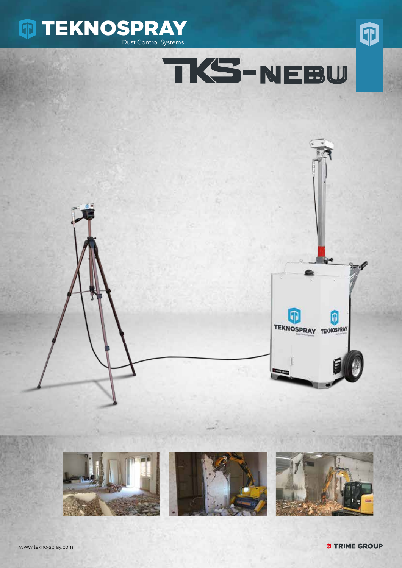







1